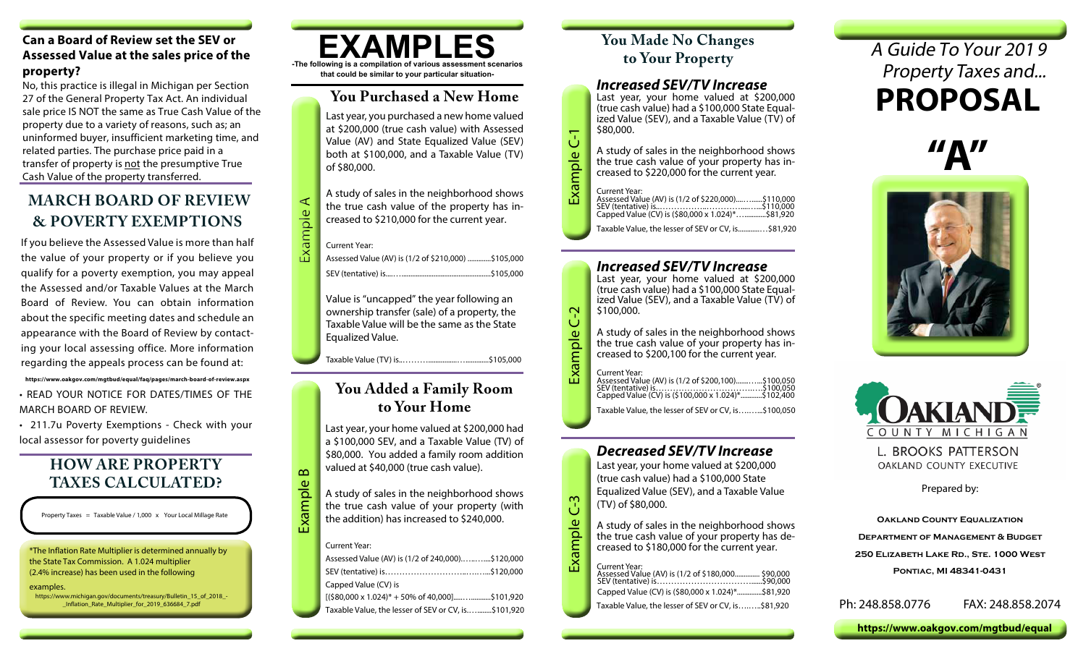#### **Can a Board of Review set the SEV or Assessed Value at the sales price of the property?**

No, this practice is illegal in Michigan per Section 27 of the General Property Tax Act. An individual sale price IS NOT the same as True Cash Value of the property due to a variety of reasons, such as; an uninformed buyer, insufficient marketing time, and related parties. The purchase price paid in a transfer of property is not the presumptive True Cash Value of the property transferred.

# **MARCH BOARD OF REVIEW & POVERTY EXEMPTIONS**

If you believe the Assessed Value is more than half the value of your property or if you believe you qualify for a poverty exemption, you may appeal the Assessed and/or Taxable Values at the March Board of Review. You can obtain information about the specific meeting dates and schedule an appearance with the Board of Review by contacting your local assessing office. More information regarding the appeals process can be found at:

**https://www.oakgov.com/mgtbud/equal/faq/pages/march-board-of-review.aspx** • READ YOUR NOTICE FOR DATES/TIMES OF THE MARCH BOARD OF REVIEW.

• 211.7u Poverty Exemptions - Check with your local assessor for poverty guidelines

# **HOW ARE PROPERTY TAXES CALCULATED?**

Property Taxes = Taxable Value / 1,000 x Your Local Millage Rate

\*The Inflation Rate Multiplier is determined annually by the State Tax Commission. A 1.024 multiplier (2.4% increase) has been used in the following

examples.

https://www.michigan.gov/documents/treasury/Bulletin\_15\_of\_2018\_- \_Inflation\_Rate\_Multiplier\_for\_2019\_636684\_7.pdf



### **You Purchased a New Home**

Last year, you purchased a new home valued at \$200,000 (true cash value) with Assessed Value (AV) and State Equalized Value (SEV) both at \$100,000, and a Taxable Value (TV) of \$80,000.

A study of sales in the neighborhood shows the true cash value of the property has increased to \$210,000 for the current year.

Current Year:

Assessed Value (AV) is (1/2 of \$210,000) .............\$105,000 SEV (tentative) is....…..................................................\$105,000 Example A

> Value is "uncapped" the year following an ownership transfer (sale) of a property, the Taxable Value will be the same as the State Equalized Value.

Taxable Value (TV) is..………................….............\$105,000

### **You Added a Family Room to Your Home**

Last year, your home valued at \$200,000 had a \$100,000 SEV, and a Taxable Value (TV) of \$80,000. You added a family room addition valued at \$40,000 (true cash value).

A study of sales in the neighborhood shows the true cash value of your property (with the addition) has increased to \$240,000.

#### Current Year:

Example B

| Assessed Value (AV) is (1/2 of 240,000)\$120,000                |
|-----------------------------------------------------------------|
|                                                                 |
| Capped Value (CV) is                                            |
| $[($80,000 \times 1.024)* + 50\% \text{ of } 40,000]$ \$101,920 |
| Taxable Value, the lesser of SEV or CV, is\$101,920             |

# **You Made No Changes to Your Property**

#### *Increased SEV/TV Increase*

Last year, your home valued at \$200,000 (true cash value) had a \$100,000 State Equalized Value (SEV), and a Taxable Value (TV) of \$80,000.

Example C-1 A study of sales in the neighborhood shows the true cash value of your property has increased to \$220,000 for the current year.

#### Current Year:

Example C-1

| .<br>Assessed Value (AV) is (1/2 of \$220,000)\$110,000 |  |
|---------------------------------------------------------|--|
|                                                         |  |
| Capped Value (CV) is (\$80,000 x 1.024)*\$81,920        |  |

Taxable Value, the lesser of SEV or CV, is............…\$81,920

#### *Increased SEV/TV Increase*

Last year, your home valued at \$200,000 (true cash value) had a \$100,000 State Equalized Value (SEV), and a Taxable Value (TV) of \$100,000.

A study of sales in the neighborhood shows the true cash value of your property has increased to \$200,100 for the current year.

#### Current Year:

Example C-2

Example C-2

Example C-3

Example C-3

| .<br>Assessed Value (AV) is (1/2 of \$200,100)\$100,050 |  |
|---------------------------------------------------------|--|
|                                                         |  |
| Capped Value (CV) is (\$100,000 x 1.024)*\$102,400      |  |

Taxable Value, the lesser of SEV or CV, is….…...\$100,050

## *Decreased SEV/TV Increase*

Last year, your home valued at \$200,000 (true cash value) had a \$100,000 State Equalized Value (SEV), and a Taxable Value (TV) of \$80,000.

A study of sales in the neighborhood shows<br>the true cash value of your property has decreased to \$180,000 for the current year.

| Current Year: |  |
|---------------|--|
|               |  |

| Capped Value (CV) is (\$80,000 x 1.024)*\$81,920   |  |
|----------------------------------------------------|--|
| Taxable Value, the lesser of SEV or CV, is\$81,920 |  |

A Guide To Your 201 9 Property Taxes and... **PROPOSAL**







L. BROOKS PATTERSON OAKLAND COUNTY EXECUTIVE

Prepared by:

**OAKLAND COUNTY EQUALIZATION Department of Management & Budget 250 Elizabeth Lake Rd., Ste. 1000 West**

**Pontiac, MI 48341-0431**

Ph: 248.858.0776 FAX: 248.858.2074

**https://www.oakgov.com/mgtbud/equal**